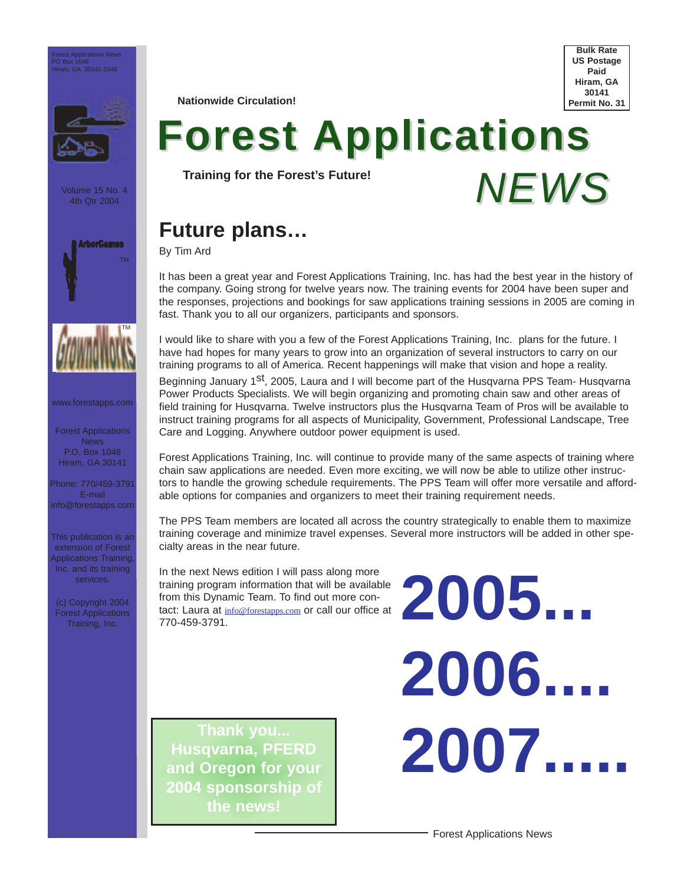

Volume 15 No. 4 4th Qtr 2004





www.forestapps.com

Forest Applications News P.O. Box 1048 Hiram, GA 30141

Phone: 770/459-3791 E-mail info@forestapps.com

This publication is an extension of Forest Applications Training, Inc. and its training services.

(c) Copyright 2004 Forest Applications Training, Inc.

**Nationwide Circulation!**

**Bulk Rate US Postage Paid Hiram, GA 30141 Permit No. 31**

*NEWS*

# **Forest Applications**

**Training for the Forest's Future!**

## **Future plans…**

By Tim Ard

It has been a great year and Forest Applications Training, Inc. has had the best year in the history of the company. Going strong for twelve years now. The training events for 2004 have been super and the responses, projections and bookings for saw applications training sessions in 2005 are coming in fast. Thank you to all our organizers, participants and sponsors.

I would like to share with you a few of the Forest Applications Training, Inc. plans for the future. I have had hopes for many years to grow into an organization of several instructors to carry on our training programs to all of America. Recent happenings will make that vision and hope a reality.

Beginning January 1<sup>st</sup>, 2005, Laura and I will become part of the Husqvarna PPS Team- Husqvarna Power Products Specialists. We will begin organizing and promoting chain saw and other areas of field training for Husqvarna. Twelve instructors plus the Husqvarna Team of Pros will be available to instruct training programs for all aspects of Municipality, Government, Professional Landscape, Tree Care and Logging. Anywhere outdoor power equipment is used.

Forest Applications Training, Inc. will continue to provide many of the same aspects of training where chain saw applications are needed. Even more exciting, we will now be able to utilize other instructors to handle the growing schedule requirements. The PPS Team will offer more versatile and affordable options for companies and organizers to meet their training requirement needs.

The PPS Team members are located all across the country strategically to enable them to maximize training coverage and minimize travel expenses. Several more instructors will be added in other specialty areas in the near future.

In the next News edition I will pass along more training program information that will be available from this Dynamic Team. To find out more contact: Laura at info@forestapps.com or call our office at training program information that will be available<br>from this Dynamic Team. To find out more contact: Laura at  $\frac{\ln 6@$  forestapps.com or call our office at<br>770-459-3791.

**Thank you... Husqvarna, PFERD and Oregon for your 2004 sponsorship of the news!**

**2006.... 2007.....**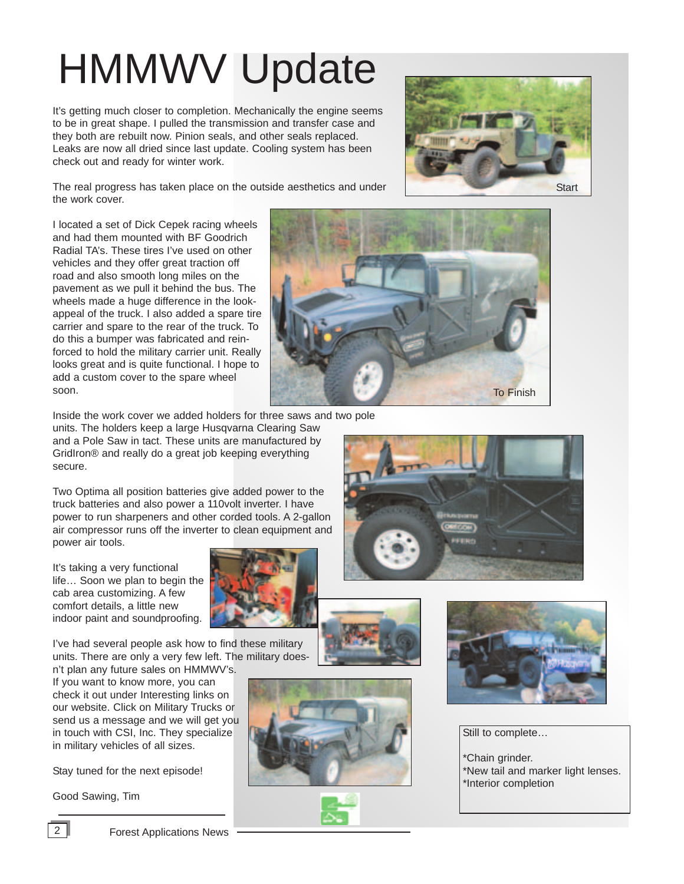## HMMWV Update

It's getting much closer to completion. Mechanically the engine seems to be in great shape. I pulled the transmission and transfer case and they both are rebuilt now. Pinion seals, and other seals replaced. Leaks are now all dried since last update. Cooling system has been check out and ready for winter work.



The real progress has taken place on the outside aesthetics and under the work cover.

I located a set of Dick Cepek racing wheels and had them mounted with BF Goodrich Radial TA's. These tires I've used on other vehicles and they offer great traction off road and also smooth long miles on the pavement as we pull it behind the bus. The wheels made a huge difference in the lookappeal of the truck. I also added a spare tire carrier and spare to the rear of the truck. To do this a bumper was fabricated and reinforced to hold the military carrier unit. Really looks great and is quite functional. I hope to add a custom cover to the spare wheel soon.



Inside the work cover we added holders for three saws and two pole

units. The holders keep a large Husqvarna Clearing Saw and a Pole Saw in tact. These units are manufactured by GridIron® and really do a great job keeping everything secure.

Two Optima all position batteries give added power to the truck batteries and also power a 110volt inverter. I have power to run sharpeners and other corded tools. A 2-gallon air compressor runs off the inverter to clean equipment and power air tools.

It's taking a very functional life… Soon we plan to begin the cab area customizing. A few comfort details, a little new indoor paint and soundproofing.





If you want to know more, you can check it out under Interesting links on our website. Click on Military Trucks or send us a message and we will get you in touch with CSI, Inc. They specialize in military vehicles of all sizes.

Stay tuned for the next episode!

Good Sawing, Tim







Still to complete…

\*Chain grinder. \*New tail and marker light lenses. \*Interior completion



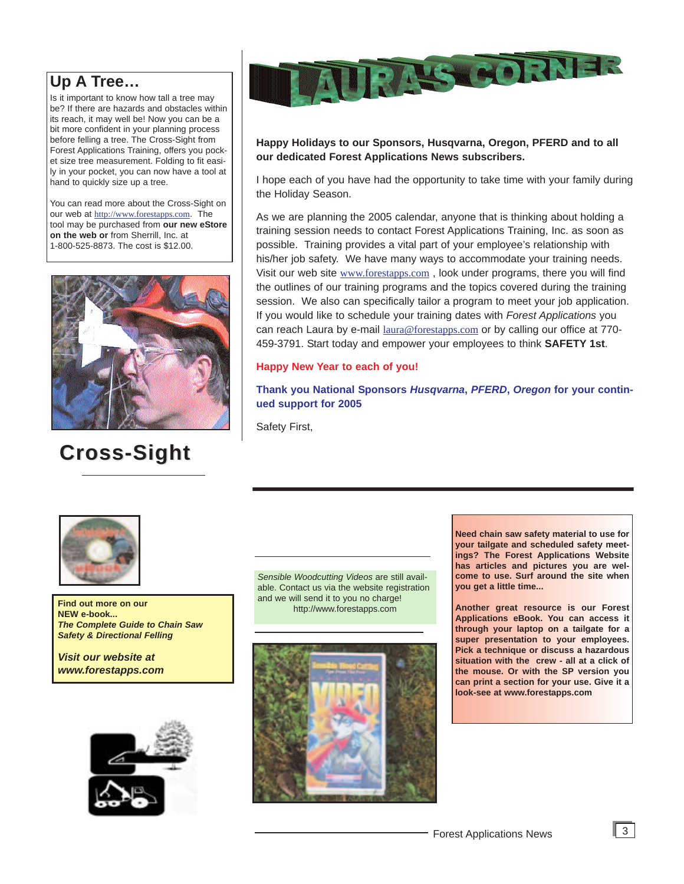### **Up A Tree…**

Is it important to know how tall a tree may be? If there are hazards and obstacles within its reach, it may well be! Now you can be a bit more confident in your planning process before felling a tree. The Cross-Sight from Forest Applications Training, offers you pocket size tree measurement. Folding to fit easily in your pocket, you can now have a tool at hand to quickly size up a tree.

You can read more about the Cross-Sight on our web at http://www.forestapps.com. The tool may be purchased from **our new eStore on the web or** from Sherrill, Inc. at 1-800-525-8873. The cost is \$12.00.



## **Cross-Sight Cross-Sight**



### **Happy Holidays to our Sponsors, Husqvarna, Oregon, PFERD and to all our dedicated Forest Applications News subscribers.**

I hope each of you have had the opportunity to take time with your family during the Holiday Season.

As we are planning the 2005 calendar, anyone that is thinking about holding a training session needs to contact Forest Applications Training, Inc. as soon as possible. Training provides a vital part of your employee's relationship with his/her job safety. We have many ways to accommodate your training needs. Visit our web site www.forestapps.com , look under programs, there you will find the outlines of our training programs and the topics covered during the training session. We also can specifically tailor a program to meet your job application. If you would like to schedule your training dates with *Forest Applications* you can reach Laura by e-mail laura@forestapps.com or by calling our office at 770-459-3791. Start today and empower your employees to think **SAFETY 1st**.

### **Happy New Year to each of you!**

**Thank you National Sponsors** *Husqvarna***,** *PFERD***,** *Oregon* **for your continued support for 2005**

Safety First,



**Find out more on our and we will sell at the you no charge on our and the sell of the sell of the sell of the sell of the sell of the sell of the sell of the sell of the sell of the sell of the sell of the sell of the sel NEW e-book...** *The Complete Guide to Chain Saw Safety & Directional Felling* 

*Visit our website at www.forestapps.com*



*Sensible Woodcutting Videos* are still available. Contact us via the website registration and we will send it to you no charge!



**Need chain saw safety material to use for your tailgate and scheduled safety meetings? The Forest Applications Website has articles and pictures you are welcome to use. Surf around the site when you get a little time...**

**Another great resource is our Forest Applications eBook. You can access it through your laptop on a tailgate for a super presentation to your employees. Pick a technique or discuss a hazardous situation with the crew - all at a click of the mouse. Or with the SP version you can print a section for your use. Give it a look-see at www.forestapps.com**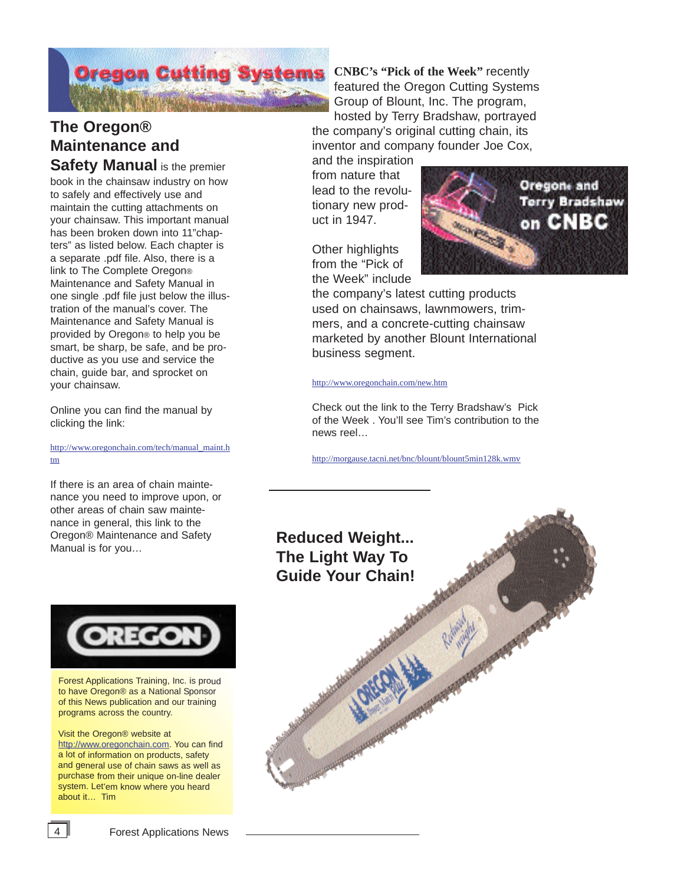# **Oregon Cutting Systems**

### **The Oregon® Maintenance and Safety Manual** is the premier

book in the chainsaw industry on how to safely and effectively use and maintain the cutting attachments on your chainsaw. This important manual has been broken down into 11"chapters" as listed below. Each chapter is a separate .pdf file. Also, there is a link to The Complete Oregon® Maintenance and Safety Manual in one single .pdf file just below the illustration of the manual's cover. The Maintenance and Safety Manual is provided by Oregon® to help you be smart, be sharp, be safe, and be productive as you use and service the chain, guide bar, and sprocket on your chainsaw.

Online you can find the manual by clicking the link:

### http://www.oregonchain.com/tech/manual\_maint.h tm

If there is an area of chain maintenance you need to improve upon, or other areas of chain saw maintenance in general, this link to the Oregon® Maintenance and Safety Oregon® Maintenance and Safety **Reduced Weight...**<br>Manual is for you...



Forest Applications Training, Inc. is proud to have Oregon® as a National Sponsor of this News publication and our training programs across the country.

Visit the Oregon® website at http://www.oregonchain.com. You can find a lot of information on products, safety and general use of chain saws as well as purchase from their unique on-line dealer system. Let'em know where you heard about it… Tim

**CNBC's "Pick of the Week"** recently featured the Oregon Cutting Systems Group of Blount, Inc. The program,

hosted by Terry Bradshaw, portrayed the company's original cutting chain, its inventor and company founder Joe Cox,

and the inspiration from nature that lead to the revolutionary new product in 1947.

Other highlights from the "Pick of the Week" include



the company's latest cutting products used on chainsaws, lawnmowers, trimmers, and a concrete-cutting chainsaw marketed by another Blount International business segment.

### http://www.oregonchain.com/new.htm

Check out the link to the Terry Bradshaw's Pick of the Week . You'll see Tim's contribution to the news reel…

http://morgause.tacni.net/bnc/blount/blount5min128k.wmv



4 **Forest Applications News**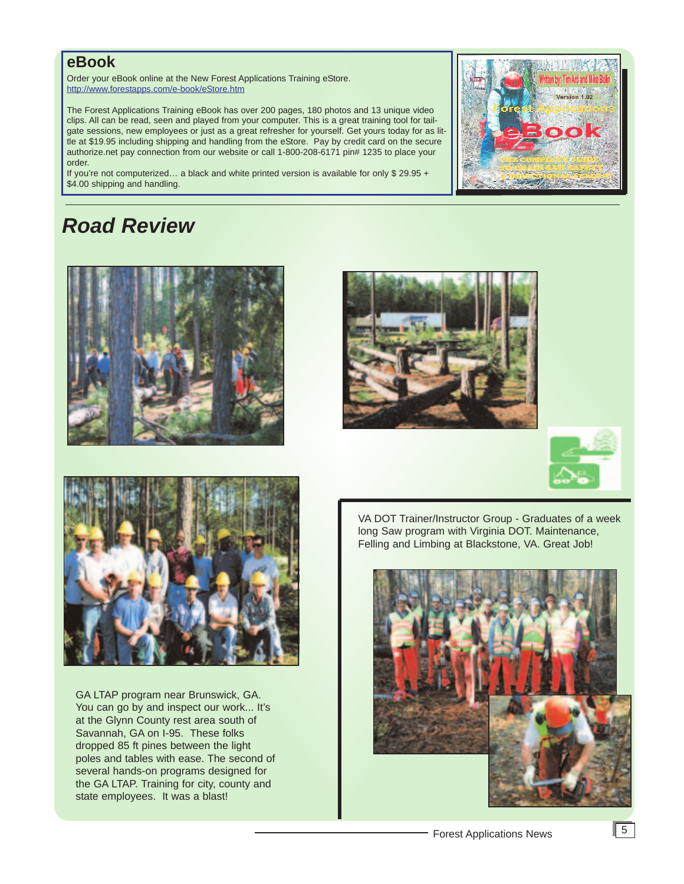### **eBook**

Order your eBook online at the New Forest Applications Training eStore. http://www.forestapps.com/e-book/eStore.htm

The Forest Applications Training eBook has over 200 pages, 180 photos and 13 unique video clips. All can be read, seen and played from your computer. This is a great training tool for tailgate sessions, new employees or just as a great refresher for yourself. Get yours today for as little at \$19.95 including shipping and handling from the eStore. Pay by credit card on the secure authorize.net pay connection from our website or call 1-800-208-6171 pin# 1235 to place your order.

If you're not computerized... a black and white printed version is available for only  $$29.95 +$ \$4.00 shipping and handling.

### *Road Review*









GA LTAP program near Brunswick, GA. You can go by and inspect our work... It's at the Glynn County rest area south of Savannah, GA on I-95. These folks dropped 85 ft pines between the light poles and tables with ease. The second of several hands-on programs designed for the GA LTAP. Training for city, county and state employees. It was a blast!

VA DOT Trainer/Instructor Group - Graduates of a week long Saw program with Virginia DOT. Maintenance, Felling and Limbing at Blackstone, VA. Great Job!

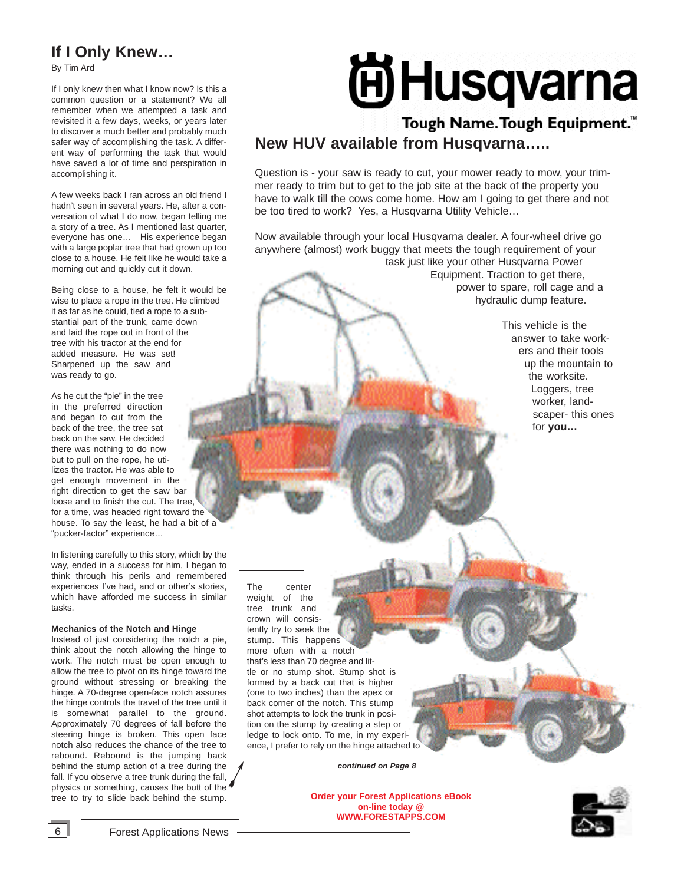### **If I Only Knew…**

By Tim Ard

If I only knew then what I know now? Is this a common question or a statement? We all remember when we attempted a task and revisited it a few days, weeks, or years later to discover a much better and probably much safer way of accomplishing the task. A different way of performing the task that would have saved a lot of time and perspiration in accomplishing it.

A few weeks back I ran across an old friend I hadn't seen in several years. He, after a conversation of what I do now, began telling me a story of a tree. As I mentioned last quarter, everyone has one… His experience began with a large poplar tree that had grown up too close to a house. He felt like he would take a morning out and quickly cut it down.

Being close to a house, he felt it would be wise to place a rope in the tree. He climbed it as far as he could, tied a rope to a substantial part of the trunk, came down and laid the rope out in front of the tree with his tractor at the end for added measure. He was set! Sharpened up the saw and was ready to go.

As he cut the "pie" in the tree in the preferred direction and began to cut from the back of the tree, the tree sat back on the saw. He decided there was nothing to do now but to pull on the rope, he utilizes the tractor. He was able to get enough movement in the right direction to get the saw bar loose and to finish the cut. The tree, for a time, was headed right toward the house. To say the least, he had a bit of a "pucker-factor" experience…

In listening carefully to this story, which by the way, ended in a success for him, I began to think through his perils and remembered experiences I've had, and or other's stories, which have afforded me success in similar tasks.

#### **Mechanics of the Notch and Hinge**

Instead of just considering the notch a pie, think about the notch allowing the hinge to work. The notch must be open enough to allow the tree to pivot on its hinge toward the ground without stressing or breaking the hinge. A 70-degree open-face notch assures the hinge controls the travel of the tree until it is somewhat parallel to the ground. Approximately 70 degrees of fall before the steering hinge is broken. This open face notch also reduces the chance of the tree to rebound. Rebound is the jumping back behind the stump action of a tree during the fall. If you observe a tree trunk during the fall, physics or something, causes the butt of the tree to try to slide back behind the stump.

# **AHusqvarna**

### Tough Name. Tough Equipment.<sup>™</sup> **New HUV available from Husqvarna…..**

Question is - your saw is ready to cut, your mower ready to mow, your trimmer ready to trim but to get to the job site at the back of the property you have to walk till the cows come home. How am I going to get there and not be too tired to work? Yes, a Husqvarna Utility Vehicle…

Now available through your local Husqvarna dealer. A four-wheel drive go anywhere (almost) work buggy that meets the tough requirement of your task just like your other Husqvarna Power Equipment. Traction to get there, power to spare, roll cage and a hydraulic dump feature.

> This vehicle is the answer to take workers and their tools up the mountain to the worksite. Loggers, tree worker, landscaper- this ones for **you…**

The center weight of the tree trunk and crown will consistently try to seek the stump. This happens more often with a notch that's less than 70 degree and little or no stump shot. Stump shot is formed by a back cut that is higher (one to two inches) than the apex or back corner of the notch. This stump shot attempts to lock the trunk in position on the stump by creating a step or ledge to lock onto. To me, in my experience, I prefer to rely on the hinge attached to

*continued on Page 8*

**Order your Forest Applications eBook on-line today @ WWW.FORESTAPPS.COM**

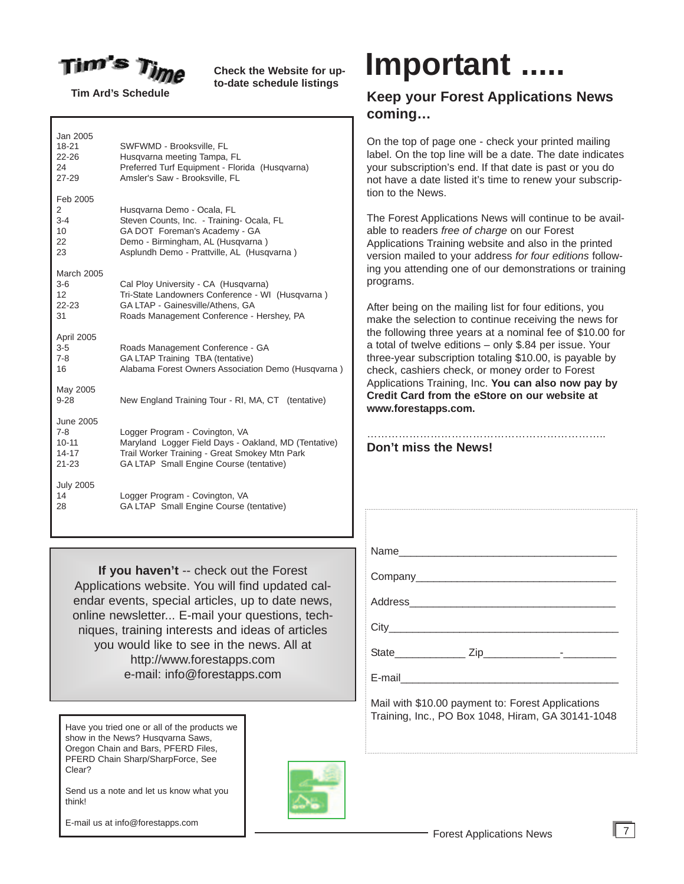

**Check the Website for upto-date schedule listings**

**Tim Ard's Schedule**

Jan 2005<br>18-21 18-21 SWFWMD - Brooksville, FL<br>22-26 Husqyarna meeting Tampa Husqvarna meeting Tampa. FL 24 Preferred Turf Equipment - Florida (Husqvarna)<br>27-29 Amsler's Saw - Brooksville Fl Amsler's Saw - Brooksville, FL Feb 2005 2 Husqvarna Demo - Ocala, FL 3-4 Steven Counts, Inc. - Training- Ocala, FL<br>10 GA DOT Foreman's Academy - GA GA DOT Foreman's Academy - GA 22 Demo - Birmingham, AL (Husqvarna ) 23 Asplundh Demo - Prattville, AL (Husqvarna ) March 2005<br>3-6 Cal Ploy University - CA (Husqvarna) 12 Tri-State Landowners Conference - WI (Husqvarna)<br>22-23 GA I TAP - Gainesville/Athens GA 22-23 GA LTAP - Gainesville/Athens, GA 31 Roads Management Conference - Hershey, PA April 2005 3-5 Roads Management Conference - GA 7-8 GA LTAP Training TBA (tentative) 16 Alabama Forest Owners Association Demo (Husqvarna ) May 2005 9-28 New England Training Tour - RI, MA, CT (tentative) June 2005 7-8 Logger Program - Covington, VA<br>10-11 Maryland Logger Field Days - Oa Maryland Logger Field Days - Oakland, MD (Tentative) 14-17 Trail Worker Training - Great Smokey Mtn Park<br>21-23 GA I TAP Small Fngine Course (tentative) GA LTAP Small Engine Course (tentative) July 2005<br>14 Logger Program - Covington, VA 28 GA LTAP Small Engine Course (tentative)

**If you haven't** -- check out the Forest Applications website. You will find updated calendar events, special articles, up to date news, online newsletter... E-mail your questions, techniques, training interests and ideas of articles you would like to see in the news. All at http://www.forestapps.com e-mail: info@forestapps.com

Have you tried one or all of the products we show in the News? Husqvarna Saws, Oregon Chain and Bars, PFERD Files, PFERD Chain Sharp/SharpForce, See Clear?

Send us a note and let us know what you think!

E-mail us at info@forestapps.com



## **Important .....**

### **Keep your Forest Applications News coming…**

On the top of page one - check your printed mailing label. On the top line will be a date. The date indicates your subscription's end. If that date is past or you do not have a date listed it's time to renew your subscription to the News.

The Forest Applications News will continue to be available to readers *free of charge* on our Forest Applications Training website and also in the printed version mailed to your address *for four editions* following you attending one of our demonstrations or training programs.

After being on the mailing list for four editions, you make the selection to continue receiving the news for the following three years at a nominal fee of \$10.00 for a total of twelve editions – only \$.84 per issue. Your three-year subscription totaling \$10.00, is payable by check, cashiers check, or money order to Forest Applications Training, Inc. **You can also now pay by Credit Card from the eStore on our website at www.forestapps.com.**

………………………………………………………………… **Don't miss the News!**

Name\_\_\_\_\_\_\_\_\_\_\_\_\_\_\_\_\_\_\_\_\_\_\_\_\_\_\_\_\_\_\_\_\_\_\_\_\_

Company\_\_\_\_\_\_\_\_\_\_\_\_\_\_\_\_\_\_\_\_\_\_\_\_\_\_\_\_\_\_\_\_\_\_

Address\_\_\_\_\_\_\_\_\_\_\_\_\_\_\_\_\_\_\_\_\_\_\_\_\_\_\_\_\_\_\_\_\_\_\_

 $\operatorname{City}$ 

State\_\_\_\_\_\_\_\_\_\_\_\_ Zip\_\_\_\_\_\_\_\_\_\_\_\_\_-\_\_\_\_\_\_\_\_\_

E-mail

Mail with \$10.00 payment to: Forest Applications Training, Inc., PO Box 1048, Hiram, GA 30141-1048

7